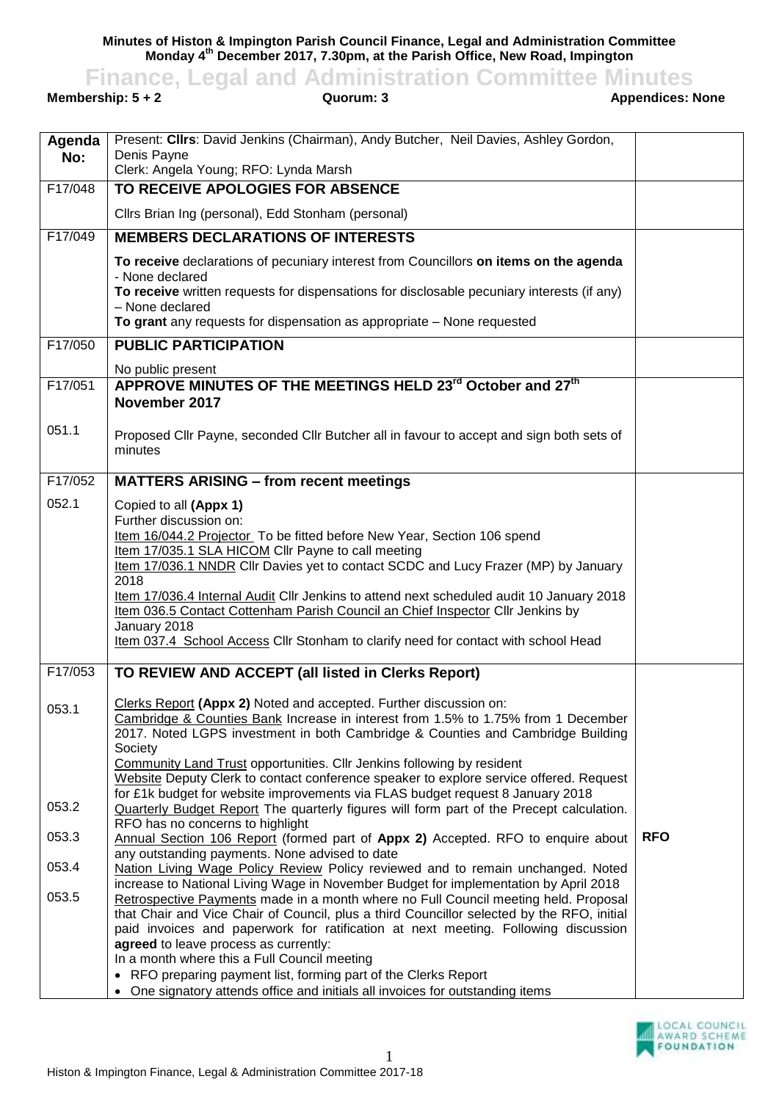**Minutes of Histon & Impington Parish Council Finance, Legal and Administration Committee Monday 4 th December 2017, 7.30pm, at the Parish Office, New Road, Impington**

**Finance, Legal and Administration Committee Minutes**<br> **Appendices: None**<br> **Appendices: None** 

**Membership: 5 + 2** 

| Agenda  | Present: Clirs: David Jenkins (Chairman), Andy Butcher, Neil Davies, Ashley Gordon,                                                                                     |            |
|---------|-------------------------------------------------------------------------------------------------------------------------------------------------------------------------|------------|
| No:     | Denis Payne<br>Clerk: Angela Young; RFO: Lynda Marsh                                                                                                                    |            |
| F17/048 | TO RECEIVE APOLOGIES FOR ABSENCE                                                                                                                                        |            |
|         | Cllrs Brian Ing (personal), Edd Stonham (personal)                                                                                                                      |            |
| F17/049 | <b>MEMBERS DECLARATIONS OF INTERESTS</b>                                                                                                                                |            |
|         | To receive declarations of pecuniary interest from Councillors on items on the agenda                                                                                   |            |
|         | - None declared<br>To receive written requests for dispensations for disclosable pecuniary interests (if any)                                                           |            |
|         | - None declared<br>To grant any requests for dispensation as appropriate - None requested                                                                               |            |
| F17/050 | <b>PUBLIC PARTICIPATION</b>                                                                                                                                             |            |
|         | No public present                                                                                                                                                       |            |
| F17/051 | APPROVE MINUTES OF THE MEETINGS HELD 23 <sup>rd</sup> October and 27 <sup>th</sup><br>November 2017                                                                     |            |
| 051.1   | Proposed Cllr Payne, seconded Cllr Butcher all in favour to accept and sign both sets of<br>minutes                                                                     |            |
| F17/052 | <b>MATTERS ARISING - from recent meetings</b>                                                                                                                           |            |
| 052.1   | Copied to all (Appx 1)                                                                                                                                                  |            |
|         | Further discussion on:                                                                                                                                                  |            |
|         | Item 16/044.2 Projector_To be fitted before New Year, Section 106 spend<br>Item 17/035.1 SLA HICOM Cllr Payne to call meeting                                           |            |
|         | Item 17/036.1 NNDR Cllr Davies yet to contact SCDC and Lucy Frazer (MP) by January                                                                                      |            |
|         | 2018                                                                                                                                                                    |            |
|         | Item 17/036.4 Internal Audit Cllr Jenkins to attend next scheduled audit 10 January 2018                                                                                |            |
|         | Item 036.5 Contact Cottenham Parish Council an Chief Inspector Cllr Jenkins by<br>January 2018                                                                          |            |
|         | Item 037.4 School Access Cllr Stonham to clarify need for contact with school Head                                                                                      |            |
| F17/053 | TO REVIEW AND ACCEPT (all listed in Clerks Report)                                                                                                                      |            |
|         | Clerks Report (Appx 2) Noted and accepted. Further discussion on:                                                                                                       |            |
| 053.1   | Cambridge & Counties Bank Increase in interest from 1.5% to 1.75% from 1 December                                                                                       |            |
|         | 2017. Noted LGPS investment in both Cambridge & Counties and Cambridge Building                                                                                         |            |
|         | Society<br>Community Land Trust opportunities. Cllr Jenkins following by resident                                                                                       |            |
|         | Website Deputy Clerk to contact conference speaker to explore service offered. Request                                                                                  |            |
|         | for £1k budget for website improvements via FLAS budget request 8 January 2018                                                                                          |            |
| 053.2   | Quarterly Budget Report The quarterly figures will form part of the Precept calculation.<br>RFO has no concerns to highlight                                            |            |
| 053.3   | Annual Section 106 Report (formed part of Appx 2) Accepted. RFO to enquire about                                                                                        | <b>RFO</b> |
|         | any outstanding payments. None advised to date                                                                                                                          |            |
| 053.4   | Nation Living Wage Policy Review Policy reviewed and to remain unchanged. Noted<br>increase to National Living Wage in November Budget for implementation by April 2018 |            |
| 053.5   | Retrospective Payments made in a month where no Full Council meeting held. Proposal                                                                                     |            |
|         | that Chair and Vice Chair of Council, plus a third Councillor selected by the RFO, initial                                                                              |            |
|         | paid invoices and paperwork for ratification at next meeting. Following discussion                                                                                      |            |
|         | agreed to leave process as currently:<br>In a month where this a Full Council meeting                                                                                   |            |
|         | • RFO preparing payment list, forming part of the Clerks Report                                                                                                         |            |
|         | • One signatory attends office and initials all invoices for outstanding items                                                                                          |            |

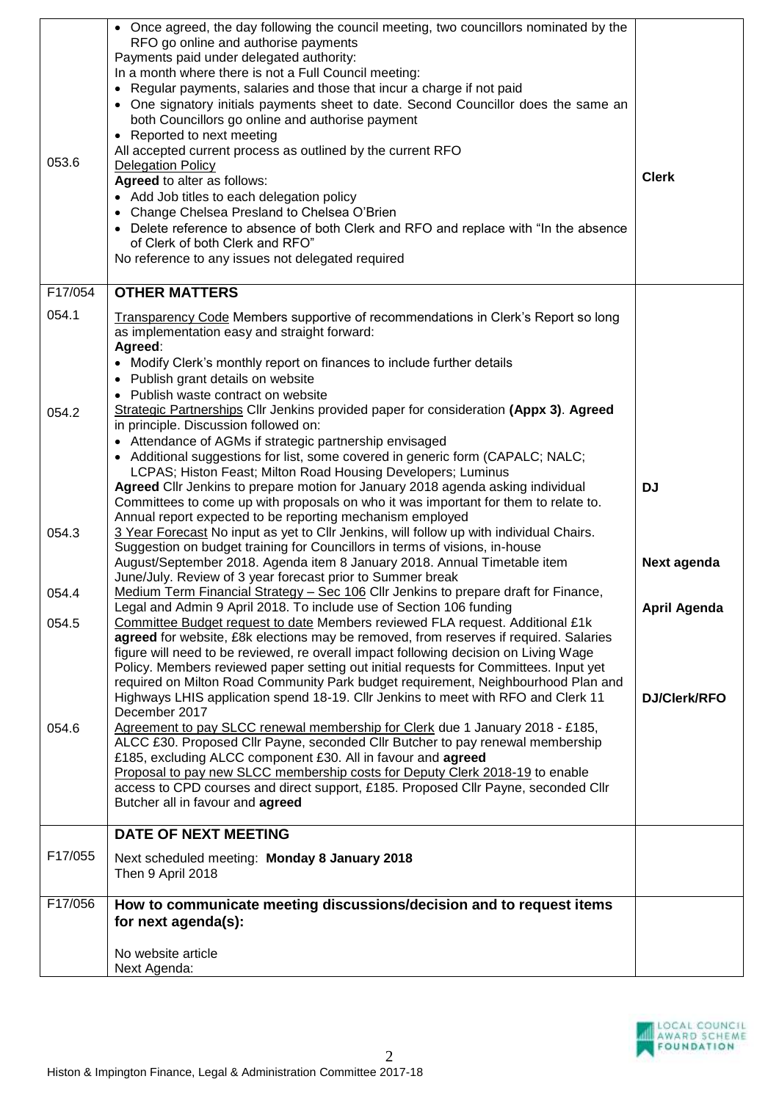|         | • Once agreed, the day following the council meeting, two councillors nominated by the                                                                                 |                     |
|---------|------------------------------------------------------------------------------------------------------------------------------------------------------------------------|---------------------|
|         | RFO go online and authorise payments                                                                                                                                   |                     |
|         | Payments paid under delegated authority:                                                                                                                               |                     |
|         | In a month where there is not a Full Council meeting:                                                                                                                  |                     |
|         | Regular payments, salaries and those that incur a charge if not paid                                                                                                   |                     |
|         | One signatory initials payments sheet to date. Second Councillor does the same an                                                                                      |                     |
|         | both Councillors go online and authorise payment                                                                                                                       |                     |
|         | Reported to next meeting<br>$\bullet$                                                                                                                                  |                     |
| 053.6   | All accepted current process as outlined by the current RFO<br><b>Delegation Policy</b>                                                                                |                     |
|         | Agreed to alter as follows:                                                                                                                                            | <b>Clerk</b>        |
|         | • Add Job titles to each delegation policy                                                                                                                             |                     |
|         | • Change Chelsea Presland to Chelsea O'Brien                                                                                                                           |                     |
|         | • Delete reference to absence of both Clerk and RFO and replace with "In the absence"                                                                                  |                     |
|         | of Clerk of both Clerk and RFO"                                                                                                                                        |                     |
|         | No reference to any issues not delegated required                                                                                                                      |                     |
|         |                                                                                                                                                                        |                     |
| F17/054 | <b>OTHER MATTERS</b>                                                                                                                                                   |                     |
| 054.1   | Transparency Code Members supportive of recommendations in Clerk's Report so long                                                                                      |                     |
|         | as implementation easy and straight forward:                                                                                                                           |                     |
|         | Agreed:                                                                                                                                                                |                     |
|         | • Modify Clerk's monthly report on finances to include further details                                                                                                 |                     |
|         | • Publish grant details on website                                                                                                                                     |                     |
|         | Publish waste contract on website                                                                                                                                      |                     |
| 054.2   | Strategic Partnerships Cllr Jenkins provided paper for consideration (Appx 3). Agreed                                                                                  |                     |
|         | in principle. Discussion followed on:                                                                                                                                  |                     |
|         | • Attendance of AGMs if strategic partnership envisaged                                                                                                                |                     |
|         | • Additional suggestions for list, some covered in generic form (CAPALC; NALC;                                                                                         |                     |
|         | LCPAS; Histon Feast; Milton Road Housing Developers; Luminus                                                                                                           |                     |
|         | Agreed Cllr Jenkins to prepare motion for January 2018 agenda asking individual                                                                                        | <b>DJ</b>           |
|         | Committees to come up with proposals on who it was important for them to relate to.                                                                                    |                     |
|         | Annual report expected to be reporting mechanism employed                                                                                                              |                     |
| 054.3   | 3 Year Forecast No input as yet to Cllr Jenkins, will follow up with individual Chairs.<br>Suggestion on budget training for Councillors in terms of visions, in-house |                     |
|         | August/September 2018. Agenda item 8 January 2018. Annual Timetable item                                                                                               | Next agenda         |
|         | June/July. Review of 3 year forecast prior to Summer break                                                                                                             |                     |
| 054.4   | Medium Term Financial Strategy - Sec 106 Cllr Jenkins to prepare draft for Finance,                                                                                    |                     |
|         | Legal and Admin 9 April 2018. To include use of Section 106 funding                                                                                                    | <b>April Agenda</b> |
| 054.5   | Committee Budget request to date Members reviewed FLA request. Additional £1k                                                                                          |                     |
|         | agreed for website, £8k elections may be removed, from reserves if required. Salaries                                                                                  |                     |
|         | figure will need to be reviewed, re overall impact following decision on Living Wage                                                                                   |                     |
|         | Policy. Members reviewed paper setting out initial requests for Committees. Input yet                                                                                  |                     |
|         | required on Milton Road Community Park budget requirement, Neighbourhood Plan and                                                                                      |                     |
|         | Highways LHIS application spend 18-19. Cllr Jenkins to meet with RFO and Clerk 11                                                                                      | DJ/Clerk/RFO        |
| 054.6   | December 2017                                                                                                                                                          |                     |
|         | Agreement to pay SLCC renewal membership for Clerk due 1 January 2018 - £185,<br>ALCC £30. Proposed Cllr Payne, seconded Cllr Butcher to pay renewal membership        |                     |
|         | £185, excluding ALCC component £30. All in favour and agreed                                                                                                           |                     |
|         | Proposal to pay new SLCC membership costs for Deputy Clerk 2018-19 to enable                                                                                           |                     |
|         | access to CPD courses and direct support, £185. Proposed Cllr Payne, seconded Cllr                                                                                     |                     |
|         | Butcher all in favour and agreed                                                                                                                                       |                     |
|         |                                                                                                                                                                        |                     |
|         | <b>DATE OF NEXT MEETING</b>                                                                                                                                            |                     |
| F17/055 | Next scheduled meeting: Monday 8 January 2018                                                                                                                          |                     |
|         | Then 9 April 2018                                                                                                                                                      |                     |
| F17/056 |                                                                                                                                                                        |                     |
|         | How to communicate meeting discussions/decision and to request items                                                                                                   |                     |
|         | for next agenda(s):                                                                                                                                                    |                     |
|         | No website article                                                                                                                                                     |                     |
|         | Next Agenda:                                                                                                                                                           |                     |
|         |                                                                                                                                                                        |                     |